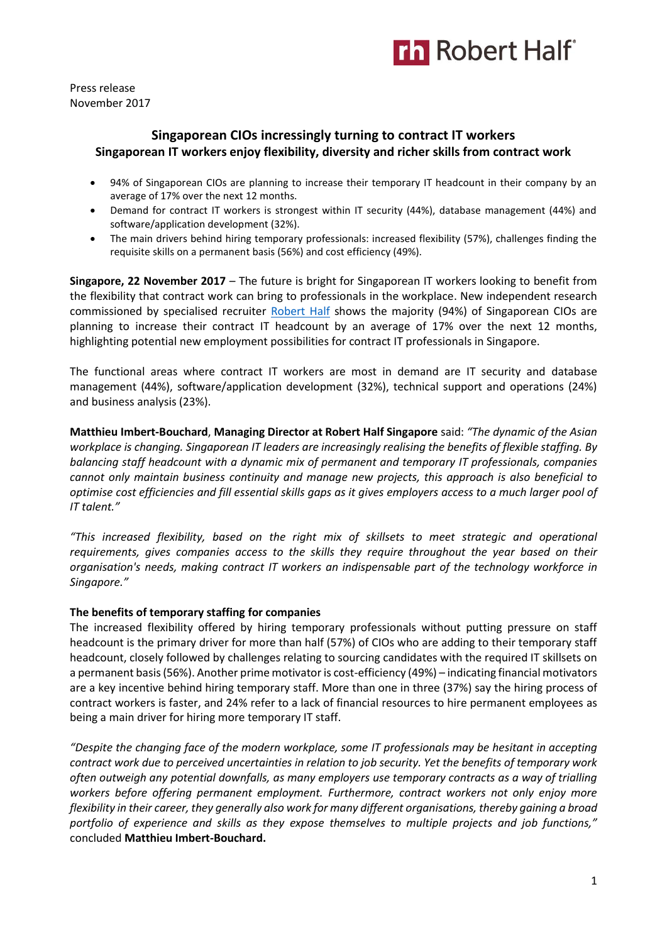

Press release November 2017

# **Singaporean CIOs incressingly turning to contract IT workers Singaporean IT workers enjoy flexibility, diversity and richer skills from contract work**

- 94% of Singaporean CIOs are planning to increase their temporary IT headcount in their company by an average of 17% over the next 12 months.
- Demand for contract IT workers is strongest within IT security (44%), database management (44%) and software/application development (32%).
- The main drivers behind hiring temporary professionals: increased flexibility (57%), challenges finding the requisite skills on a permanent basis (56%) and cost efficiency (49%).

**Singapore, 22 November 2017** – The future is bright for Singaporean IT workers looking to benefit from the flexibility that contract work can bring to professionals in the workplace. New independent research commissioned by specialised recruiter [Robert Half](https://www.roberthalf.com.sg/?utm_source=roberthalf&utm_medium=pressrelease&utm_campaign=rh-all-nonspecific-ongoing) shows the majority (94%) of Singaporean CIOs are planning to increase their contract IT headcount by an average of 17% over the next 12 months, highlighting potential new employment possibilities for contract IT professionals in Singapore.

The functional areas where contract IT workers are most in demand are IT security and database management (44%), software/application development (32%), technical support and operations (24%) and business analysis (23%).

**Matthieu Imbert-Bouchard**, **Managing Director at Robert Half Singapore** said: *"The dynamic of the Asian workplace is changing. Singaporean IT leaders are increasingly realising the benefits of flexible staffing. By balancing staff headcount with a dynamic mix of permanent and temporary IT professionals, companies cannot only maintain business continuity and manage new projects, this approach is also beneficial to optimise cost efficiencies and fill essential skills gaps as it gives employers access to a much larger pool of IT talent."*

*"This increased flexibility, based on the right mix of skillsets to meet strategic and operational requirements, gives companies access to the skills they require throughout the year based on their organisation's needs, making contract IT workers an indispensable part of the technology workforce in Singapore."*

# **The benefits of temporary staffing for companies**

The increased flexibility offered by hiring temporary professionals without putting pressure on staff headcount is the primary driver for more than half (57%) of CIOs who are adding to their temporary staff headcount, closely followed by challenges relating to sourcing candidates with the required IT skillsets on a permanent basis (56%). Another prime motivator is cost-efficiency (49%) – indicating financial motivators are a key incentive behind hiring temporary staff. More than one in three (37%) say the hiring process of contract workers is faster, and 24% refer to a lack of financial resources to hire permanent employees as being a main driver for hiring more temporary IT staff.

*"Despite the changing face of the modern workplace, some IT professionals may be hesitant in accepting contract work due to perceived uncertainties in relation to job security. Yet the benefits of temporary work often outweigh any potential downfalls, as many employers use temporary contracts as a way of trialling workers before offering permanent employment. Furthermore, contract workers not only enjoy more flexibility in their career, they generally also work for many different organisations, thereby gaining a broad portfolio of experience and skills as they expose themselves to multiple projects and job functions,"* concluded **Matthieu Imbert-Bouchard.**